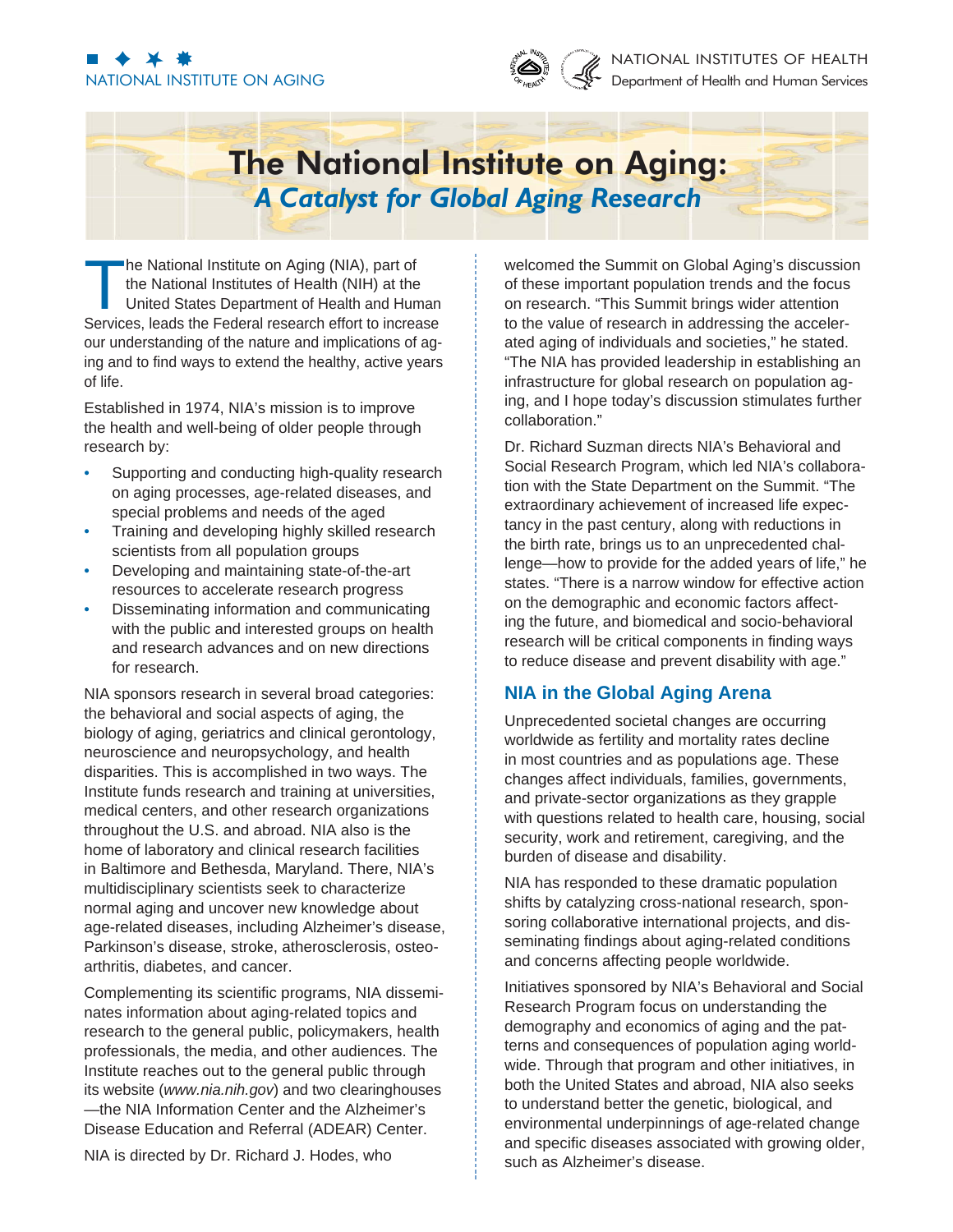# NATIONAL INSTITUTE ON AGING



#### NATIONAL INSTITUTES OF HEALTH Department of Health and Human Services

## **The National Institute on Aging:** *A Catalyst for Global Aging Research*

The National Institute on Aging (NIA), part of the National Institutes of Health (NIH) at the United States Department of Health and Human Services, leads the Federal research effort to increase our understanding of the nature and implications of aging and to find ways to extend the healthy, active years of life.

Established in 1974, NIA's mission is to improve the health and well-being of older people through research by:

- Supporting and conducting high-quality research on aging processes, age-related diseases, and special problems and needs of the aged •
- Training and developing highly skilled research scientists from all population groups •
- Developing and maintaining state-of-the-art resources to accelerate research progress •
- Disseminating information and communicating with the public and interested groups on health and research advances and on new directions for research. •

NIA sponsors research in several broad categories: the behavioral and social aspects of aging, the biology of aging, geriatrics and clinical gerontology, neuroscience and neuropsychology, and health disparities. This is accomplished in two ways. The Institute funds research and training at universities, medical centers, and other research organizations throughout the U.S. and abroad. NIA also is the home of laboratory and clinical research facilities in Baltimore and Bethesda, Maryland. There, NIA's multidisciplinary scientists seek to characterize normal aging and uncover new knowledge about age-related diseases, including Alzheimer's disease, Parkinson's disease, stroke, atherosclerosis, osteoarthritis, diabetes, and cancer.

Complementing its scientific programs, NIA disseminates information about aging-related topics and research to the general public, policymakers, health professionals, the media, and other audiences. The Institute reaches out to the general public through its website (*www.nia.nih.gov*) and two clearinghouses —the NIA Information Center and the Alzheimer's Disease Education and Referral (ADEAR) Center.

NIA is directed by Dr. Richard J. Hodes, who

welcomed the Summit on Global Aging's discussion of these important population trends and the focus on research. "This Summit brings wider attention to the value of research in addressing the accelerated aging of individuals and societies," he stated. "The NIA has provided leadership in establishing an infrastructure for global research on population aging, and I hope today's discussion stimulates further collaboration."

Dr. Richard Suzman directs NIA's Behavioral and Social Research Program, which led NIA's collaboration with the State Department on the Summit. "The extraordinary achievement of increased life expectancy in the past century, along with reductions in the birth rate, brings us to an unprecedented challenge—how to provide for the added years of life," he states. "There is a narrow window for effective action on the demographic and economic factors affecting the future, and biomedical and socio-behavioral research will be critical components in finding ways to reduce disease and prevent disability with age."

### **NIA in the Global Aging Arena**

Unprecedented societal changes are occurring worldwide as fertility and mortality rates decline in most countries and as populations age. These changes affect individuals, families, governments, and private-sector organizations as they grapple with questions related to health care, housing, social security, work and retirement, caregiving, and the burden of disease and disability.

NIA has responded to these dramatic population shifts by catalyzing cross-national research, sponsoring collaborative international projects, and disseminating findings about aging-related conditions and concerns affecting people worldwide.

Initiatives sponsored by NIA's Behavioral and Social Research Program focus on understanding the demography and economics of aging and the patterns and consequences of population aging worldwide. Through that program and other initiatives, in both the United States and abroad, NIA also seeks to understand better the genetic, biological, and environmental underpinnings of age-related change and specific diseases associated with growing older, such as Alzheimer's disease.